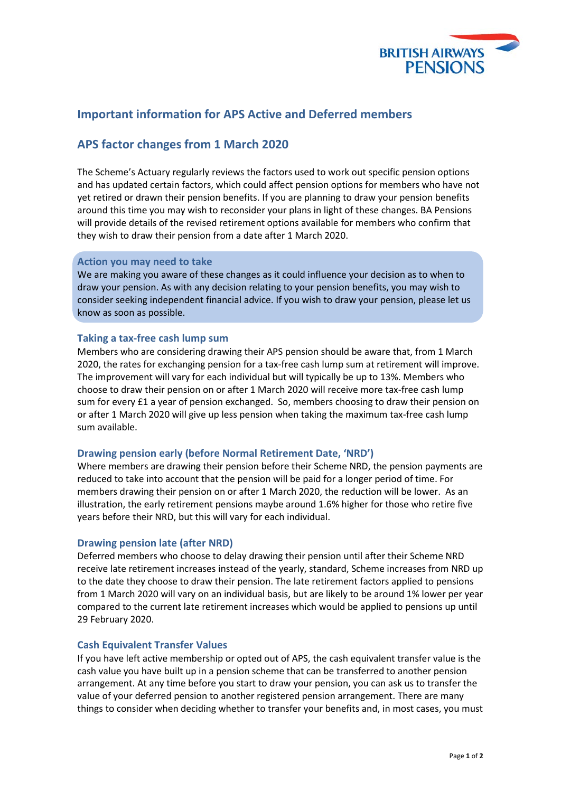

# **Important information for APS Active and Deferred members**

## **APS factor changes from 1 March 2020**

The Scheme's Actuary regularly reviews the factors used to work out specific pension options and has updated certain factors, which could affect pension options for members who have not yet retired or drawn their pension benefits. If you are planning to draw your pension benefits around this time you may wish to reconsider your plans in light of these changes. BA Pensions will provide details of the revised retirement options available for members who confirm that they wish to draw their pension from a date after 1 March 2020.

#### **Action you may need to take**

We are making you aware of these changes as it could influence your decision as to when to draw your pension. As with any decision relating to your pension benefits, you may wish to consider seeking independent financial advice. If you wish to draw your pension, please let us know as soon as possible.

## **Taking a tax-free cash lump sum**

Members who are considering drawing their APS pension should be aware that, from 1 March 2020, the rates for exchanging pension for a tax-free cash lump sum at retirement will improve. The improvement will vary for each individual but will typically be up to 13%. Members who choose to draw their pension on or after 1 March 2020 will receive more tax-free cash lump sum for every £1 a year of pension exchanged. So, members choosing to draw their pension on or after 1 March 2020 will give up less pension when taking the maximum tax-free cash lump sum available.

#### **Drawing pension early (before Normal Retirement Date, 'NRD')**

Where members are drawing their pension before their Scheme NRD, the pension payments are reduced to take into account that the pension will be paid for a longer period of time. For members drawing their pension on or after 1 March 2020, the reduction will be lower. As an illustration, the early retirement pensions maybe around 1.6% higher for those who retire five years before their NRD, but this will vary for each individual.

#### **Drawing pension late (after NRD)**

Deferred members who choose to delay drawing their pension until after their Scheme NRD receive late retirement increases instead of the yearly, standard, Scheme increases from NRD up to the date they choose to draw their pension. The late retirement factors applied to pensions from 1 March 2020 will vary on an individual basis, but are likely to be around 1% lower per year compared to the current late retirement increases which would be applied to pensions up until 29 February 2020.

#### **Cash Equivalent Transfer Values**

If you have left active membership or opted out of APS, the cash equivalent transfer value is the cash value you have built up in a pension scheme that can be transferred to another pension arrangement. At any time before you start to draw your pension, you can ask us to transfer the value of your deferred pension to another registered pension arrangement. There are many things to consider when deciding whether to transfer your benefits and, in most cases, you must